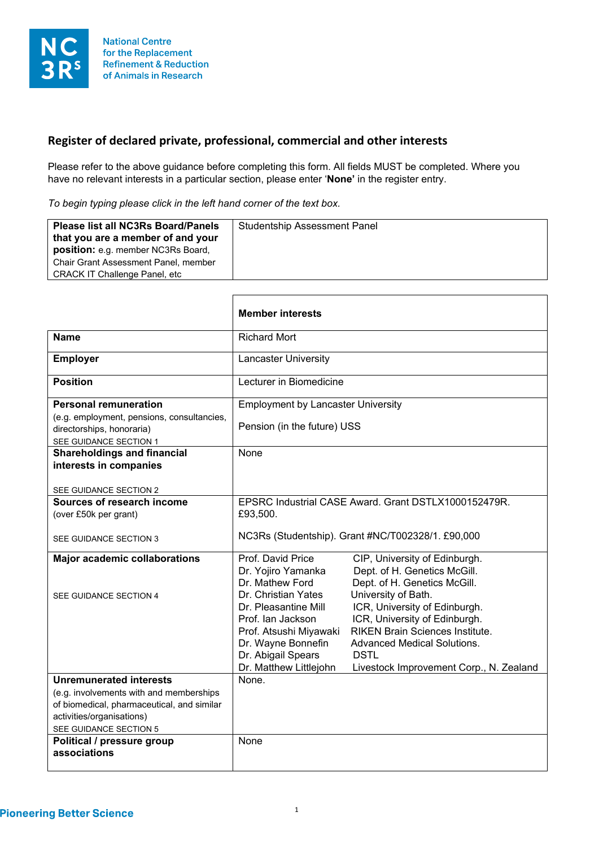

## **Register of declared private, professional, commercial and other interests**

Please refer to the above guidance before completing this form. All fields MUST be completed. Where you have no relevant interests in a particular section, please enter '**None'** in the register entry.

*To begin typing please click in the left hand corner of the text box.*

| <b>Please list all NC3Rs Board/Panels</b>                                      | <b>Studentship Assessment Panel</b> |
|--------------------------------------------------------------------------------|-------------------------------------|
| that you are a member of and your<br><b>position:</b> e.g. member NC3Rs Board, |                                     |
| Chair Grant Assessment Panel, member                                           |                                     |
| <b>CRACK IT Challenge Panel, etc.</b>                                          |                                     |

|                                                                                                   | <b>Member interests</b>                              |                                                      |
|---------------------------------------------------------------------------------------------------|------------------------------------------------------|------------------------------------------------------|
| <b>Name</b>                                                                                       | <b>Richard Mort</b>                                  |                                                      |
| <b>Employer</b>                                                                                   | Lancaster University                                 |                                                      |
| <b>Position</b>                                                                                   | Lecturer in Biomedicine                              |                                                      |
| <b>Personal remuneration</b>                                                                      | <b>Employment by Lancaster University</b>            |                                                      |
| (e.g. employment, pensions, consultancies,<br>directorships, honoraria)<br>SEE GUIDANCE SECTION 1 | Pension (in the future) USS                          |                                                      |
| <b>Shareholdings and financial</b>                                                                | None                                                 |                                                      |
| interests in companies                                                                            |                                                      |                                                      |
| SEE GUIDANCE SECTION 2                                                                            |                                                      |                                                      |
| Sources of research income                                                                        | EPSRC Industrial CASE Award, Grant DSTLX1000152479R. |                                                      |
| (over £50k per grant)                                                                             | £93,500.                                             |                                                      |
|                                                                                                   |                                                      |                                                      |
| SEE GUIDANCE SECTION 3                                                                            | NC3Rs (Studentship). Grant #NC/T002328/1. £90,000    |                                                      |
| <b>Major academic collaborations</b>                                                              | Prof. David Price                                    | CIP, University of Edinburgh.                        |
|                                                                                                   | Dr. Yojiro Yamanka                                   | Dept. of H. Genetics McGill.                         |
|                                                                                                   | Dr. Mathew Ford<br>Dr. Christian Yates               | Dept. of H. Genetics McGill.                         |
| SEE GUIDANCE SECTION 4                                                                            | Dr. Pleasantine Mill                                 | University of Bath.<br>ICR, University of Edinburgh. |
|                                                                                                   | Prof. Ian Jackson                                    | ICR, University of Edinburgh.                        |
|                                                                                                   | Prof. Atsushi Miyawaki                               | <b>RIKEN Brain Sciences Institute.</b>               |
|                                                                                                   | Dr. Wayne Bonnefin                                   | <b>Advanced Medical Solutions.</b>                   |
|                                                                                                   | Dr. Abigail Spears                                   | <b>DSTL</b>                                          |
|                                                                                                   | Dr. Matthew Littlejohn                               | Livestock Improvement Corp., N. Zealand              |
| <b>Unremunerated interests</b>                                                                    | None.                                                |                                                      |
| (e.g. involvements with and memberships                                                           |                                                      |                                                      |
| of biomedical, pharmaceutical, and similar                                                        |                                                      |                                                      |
| activities/organisations)                                                                         |                                                      |                                                      |
| SEE GUIDANCE SECTION 5<br>Political / pressure group                                              | None                                                 |                                                      |
| associations                                                                                      |                                                      |                                                      |
|                                                                                                   |                                                      |                                                      |